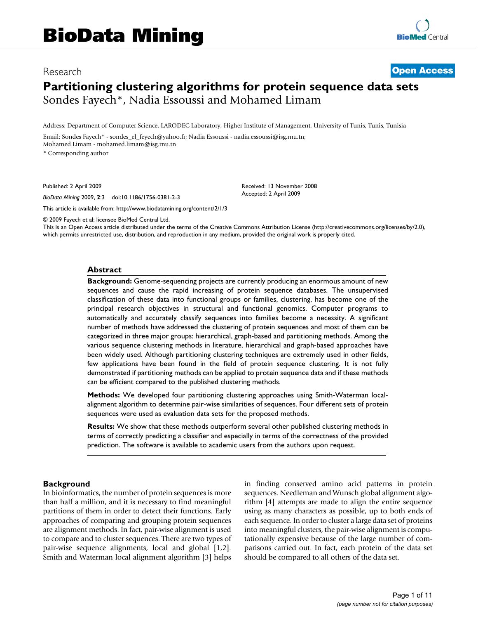# Research **[Open Access](http://www.biomedcentral.com/info/about/charter/) Partitioning clustering algorithms for protein sequence data sets** Sondes Fayech\*, Nadia Essoussi and Mohamed Limam

Address: Department of Computer Science, LARODEC Laboratory, Higher Institute of Management, University of Tunis, Tunis, Tunisia

Email: Sondes Fayech\* - sondes\_el\_feyech@yahoo.fr; Nadia Essoussi - nadia.essoussi@isg.rnu.tn; Mohamed Limam - mohamed.limam@isg.rnu.tn

\* Corresponding author

Published: 2 April 2009

*BioData Mining* 2009, **2**:3 doi:10.1186/1756-0381-2-3

[This article is available from: http://www.biodatamining.org/content/2/1/3](http://www.biodatamining.org/content/2/1/3)

© 2009 Fayech et al; licensee BioMed Central Ltd.

This is an Open Access article distributed under the terms of the Creative Commons Attribution License [\(http://creativecommons.org/licenses/by/2.0\)](http://creativecommons.org/licenses/by/2.0), which permits unrestricted use, distribution, and reproduction in any medium, provided the original work is properly cited.

Received: 13 November 2008 Accepted: 2 April 2009

#### **Abstract**

**Background:** Genome-sequencing projects are currently producing an enormous amount of new sequences and cause the rapid increasing of protein sequence databases. The unsupervised classification of these data into functional groups or families, clustering, has become one of the principal research objectives in structural and functional genomics. Computer programs to automatically and accurately classify sequences into families become a necessity. A significant number of methods have addressed the clustering of protein sequences and most of them can be categorized in three major groups: hierarchical, graph-based and partitioning methods. Among the various sequence clustering methods in literature, hierarchical and graph-based approaches have been widely used. Although partitioning clustering techniques are extremely used in other fields, few applications have been found in the field of protein sequence clustering. It is not fully demonstrated if partitioning methods can be applied to protein sequence data and if these methods can be efficient compared to the published clustering methods.

**Methods:** We developed four partitioning clustering approaches using Smith-Waterman localalignment algorithm to determine pair-wise similarities of sequences. Four different sets of protein sequences were used as evaluation data sets for the proposed methods.

**Results:** We show that these methods outperform several other published clustering methods in terms of correctly predicting a classifier and especially in terms of the correctness of the provided prediction. The software is available to academic users from the authors upon request.

#### **Background**

In bioinformatics, the number of protein sequences is more than half a million, and it is necessary to find meaningful partitions of them in order to detect their functions. Early approaches of comparing and grouping protein sequences are alignment methods. In fact, pair-wise alignment is used to compare and to cluster sequences. There are two types of pair-wise sequence alignments, local and global [1,2]. Smith and Waterman local alignment algorithm [3] helps in finding conserved amino acid patterns in protein sequences. Needleman and Wunsch global alignment algorithm [4] attempts are made to align the entire sequence using as many characters as possible, up to both ends of each sequence. In order to cluster a large data set of proteins into meaningful clusters, the pair-wise alignment is computationally expensive because of the large number of comparisons carried out. In fact, each protein of the data set should be compared to all others of the data set.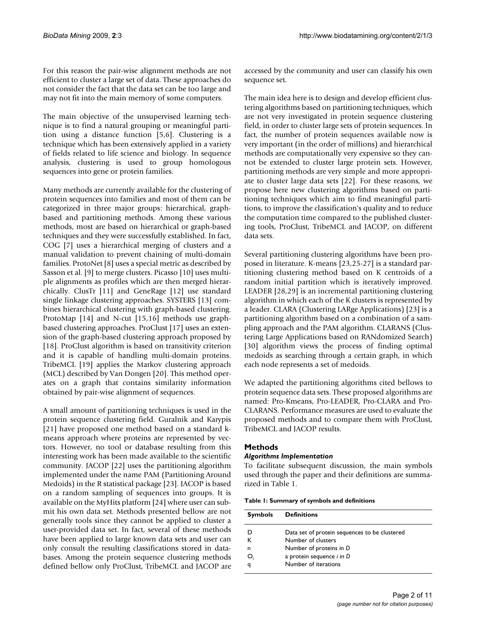For this reason the pair-wise alignment methods are not efficient to cluster a large set of data. These approaches do not consider the fact that the data set can be too large and may not fit into the main memory of some computers.

The main objective of the unsupervised learning technique is to find a natural grouping or meaningful partition using a distance function [5,6]. Clustering is a technique which has been extensively applied in a variety of fields related to life science and biology. In sequence analysis, clustering is used to group homologous sequences into gene or protein families.

Many methods are currently available for the clustering of protein sequences into families and most of them can be categorized in three major groups: hierarchical, graphbased and partitioning methods. Among these various methods, most are based on hierarchical or graph-based techniques and they were successfully established. In fact, COG [7] uses a hierarchical merging of clusters and a manual validation to prevent chaining of multi-domain families. ProtoNet [8] uses a special metric as described by Sasson et al. [9] to merge clusters. Picasso [10] uses multiple alignments as profiles which are then merged hierarchically. ClusTr [11] and GeneRage [12] use standard single linkage clustering approaches. SYSTERS [13] combines hierarchical clustering with graph-based clustering. ProtoMap [14] and N-cut [15,16] methods use graphbased clustering approaches. ProClust [17] uses an extension of the graph-based clustering approach proposed by [18]. ProClust algorithm is based on transitivity criterion and it is capable of handling multi-domain proteins. TribeMCL [19] applies the Markov clustering approach (MCL) described by Van Dongen [20]. This method operates on a graph that contains similarity information obtained by pair-wise alignment of sequences.

A small amount of partitioning techniques is used in the protein sequence clustering field. Guralnik and Karypis [21] have proposed one method based on a standard kmeans approach where proteins are represented by vectors. However, no tool or database resulting from this interesting work has been made available to the scientific community. JACOP [22] uses the partitioning algorithm implemented under the name PAM (Partitioning Around Medoids) in the R statistical package [23]. JACOP is based on a random sampling of sequences into groups. It is available on the MyHits platform [24] where user can submit his own data set. Methods presented bellow are not generally tools since they cannot be applied to cluster a user-provided data set. In fact, several of these methods have been applied to large known data sets and user can only consult the resulting classifications stored in databases. Among the protein sequence clustering methods defined bellow only ProClust, TribeMCL and JACOP are accessed by the community and user can classify his own sequence set.

The main idea here is to design and develop efficient clustering algorithms based on partitioning techniques, which are not very investigated in protein sequence clustering field, in order to cluster large sets of protein sequences. In fact, the number of protein sequences available now is very important (in the order of millions) and hierarchical methods are computationally very expensive so they cannot be extended to cluster large protein sets. However, partitioning methods are very simple and more appropriate to cluster large data sets [22]. For these reasons, we propose here new clustering algorithms based on partitioning techniques which aim to find meaningful partitions, to improve the classification's quality and to reduce the computation time compared to the published clustering tools, ProClust, TribeMCL and JACOP, on different data sets.

Several partitioning clustering algorithms have been proposed in literature. K-means [23,25-27] is a standard partitioning clustering method based on K centroids of a random initial partition which is iteratively improved. LEADER [28,29] is an incremental partitioning clustering algorithm in which each of the K clusters is represented by a leader. CLARA (Clustering LARge Applications) [23] is a partitioning algorithm based on a combination of a sampling approach and the PAM algorithm. CLARANS (Clustering Large Applications based on RANdomized Search) [30] algorithm views the process of finding optimal medoids as searching through a certain graph, in which each node represents a set of medoids.

We adapted the partitioning algorithms cited bellows to protein sequence data sets. These proposed algorithms are named: Pro-Kmeans, Pro-LEADER, Pro-CLARA and Pro-CLARANS. Performance measures are used to evaluate the proposed methods and to compare them with ProClust, TribeMCL and JACOP results.

## **Methods**

#### *Algorithms Implementation*

To facilitate subsequent discussion, the main symbols used through the paper and their definitions are summarized in Table 1.

|  |  |  |  |  |  | Table 1: Summary of symbols and definitions |
|--|--|--|--|--|--|---------------------------------------------|
|--|--|--|--|--|--|---------------------------------------------|

| <b>Symbols</b> | Definitions                                   |
|----------------|-----------------------------------------------|
| D              | Data set of protein sequences to be clustered |
| к              | Number of clusters                            |
| n              | Number of proteins in D                       |
| O.             | a protein sequence <i>i</i> in D              |
| q              | Number of iterations                          |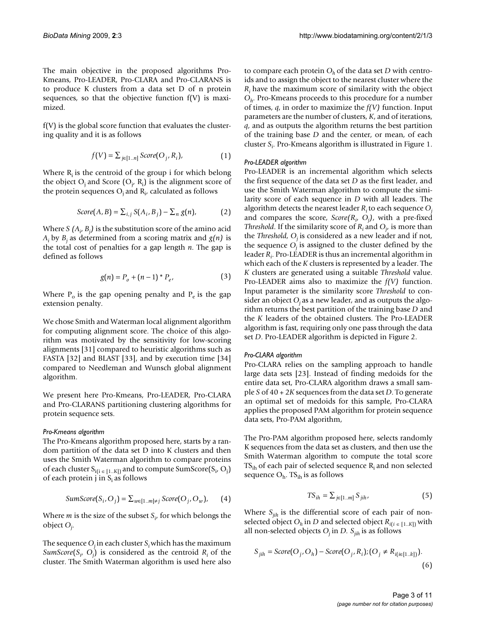The main objective in the proposed algorithms Pro-Kmeans, Pro-LEADER, Pro-CLARA and Pro-CLARANS is to produce K clusters from a data set D of n protein sequences, so that the objective function  $f(V)$  is maximized.

f(V) is the global score function that evaluates the clustering quality and it is as follows

$$
f(V) = \sum_{j \in [1..n]} \text{Score}(O_j, R_i), \tag{1}
$$

Where  $R_i$  is the centroid of the group i for which belong the object  $O_j$  and Score  $(O_j, R_i)$  is the alignment score of the protein sequences  $O_j$  and  $R_i$ , calculated as follows

$$
Score(A, B) = \sum_{i,j} S(A_i, B_j) - \sum_{n} g(n),
$$
 (2)

Where  $S$   $(A_i, B_j)$  is the substitution score of the amino acid  $A_i$  by  $B_i$  as determined from a scoring matrix and  $g(n)$  is the total cost of penalties for a gap length *n*. The gap is defined as follows

$$
g(n) = P_o + (n-1) * P_e,
$$
 (3)

Where  $P_0$  is the gap opening penalty and  $P_e$  is the gap extension penalty.

We chose Smith and Waterman local alignment algorithm for computing alignment score. The choice of this algorithm was motivated by the sensitivity for low-scoring alignments [31] compared to heuristic algorithms such as FASTA [32] and BLAST [33], and by execution time [34] compared to Needleman and Wunsch global alignment algorithm.

We present here Pro-Kmeans, Pro-LEADER, Pro-CLARA and Pro-CLARANS partitioning clustering algorithms for protein sequence sets.

## *Pro-Kmeans algorithm*

The Pro-Kmeans algorithm proposed here, starts by a random partition of the data set D into K clusters and then uses the Smith Waterman algorithm to compare proteins of each cluster  $S_{i(i \in [1..K])}$  and to compute SumScore $(S_i, O_j)$ of each protein j in  $S_i$  as follows

$$
SumScore(S_i, O_j) = \sum_{w \in [1..m] \neq j} Score(O_j, O_w), \qquad (4)
$$
\n
$$
TS_{ih} = \sum_{j \in [1..m]} S_{jih}, \qquad (5)
$$

Where *m* is the size of the subset *Si* , for which belongs the object *Oj* .

The sequence  $O_i$  in each cluster  $S_i$  which has the maximum *SumScore*( $S_i$ ,  $O_j$ ) is considered as the centroid  $R_i$  of the cluster. The Smith Waterman algorithm is used here also to compare each protein  $O<sub>h</sub>$  of the data set *D* with centroids and to assign the object to the nearest cluster where the *Ri* have the maximum score of similarity with the object *Oh*. Pro-Kmeans proceeds to this procedure for a number of times, *q*, in order to maximize the *f(V)* function. Input parameters are the number of clusters, *K*, and of iterations, *q*, and as outputs the algorithm returns the best partition of the training base *D* and the center, or mean, of each cluster *Si* . Pro-Kmeans algorithm is illustrated in Figure 1.

#### *Pro-LEADER algorithm*

Pro-LEADER is an incremental algorithm which selects the first sequence of the data set *D* as the first leader, and use the Smith Waterman algorithm to compute the similarity score of each sequence in *D* with all leaders. The algorithm detects the nearest leader *Ri* to each sequence *Oj* and compares the score, *Score(Ri* , *Oj )*, with a pre-fixed *Threshold*. If the similarity score of *Ri* and *Oj* , is more than the *Threshold*, *O<sub>i</sub>* is considered as a new leader and if not, the sequence  $O_i$  is assigned to the cluster defined by the leader *Ri* . Pro-LEADER is thus an incremental algorithm in which each of the *K* clusters is represented by a leader. The *K* clusters are generated using a suitable *Threshold* value. Pro-LEADER aims also to maximize the *f(V)* function. Input parameter is the similarity score *Threshold* to consider an object  $O_i$  as a new leader, and as outputs the algorithm returns the best partition of the training base *D* and the *K* leaders of the obtained clusters. The Pro-LEADER algorithm is fast, requiring only one pass through the data set *D*. Pro-LEADER algorithm is depicted in Figure 2.

#### *Pro-CLARA algorithm*

Pro-CLARA relies on the sampling approach to handle large data sets [23]. Instead of finding medoids for the entire data set, Pro-CLARA algorithm draws a small sample *S* of 40 + 2*K* sequences from the data set *D*. To generate an optimal set of medoids for this sample, Pro-CLARA applies the proposed PAM algorithm for protein sequence data sets, Pro-PAM algorithm,

The Pro-PAM algorithm proposed here, selects randomly K sequences from the data set as clusters, and then use the Smith Waterman algorithm to compute the total score  $TS<sub>ih</sub>$  of each pair of selected sequence  $R<sub>i</sub>$  and non selected sequence  $O<sub>h</sub>$ . TS<sub>ih</sub> is as follows

$$
TS_{ih} = \sum_{i \in [1..m]} S_{jih}, \qquad (5)
$$

Where  $S_{ijk}$  is the differential score of each pair of nonselected object  $O_h$  in *D* and selected object  $R_{i(i) \in [1..K]}$  with all non-selected objects  $O_j$  in *D.*  $S_{jih}$  is as follows

$$
S_{jih} = Score(O_j, O_h) - Score(O_j, R_i); (O_j \neq R_{i(i \in [1..k])}).
$$
\n(6)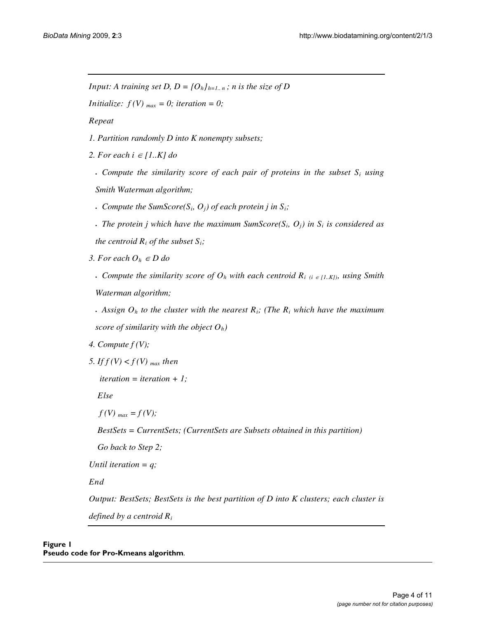*Input: A training set D, D = {O<sub>h</sub>}<sub>h=1,n</sub>; <i>n is the size of D* 

*Initialize:*  $f(V)_{max} = 0$ ; *iteration* = 0;

*Repeat* 

*1. Partition randomly D into K nonempty subsets;* 

2. For each  $i \in [1..K]$  do

 $\cdot$  *Compute the similarity score of each pair of proteins in the subset*  $S_i$  *using Smith Waterman algorithm;* 

**.** Compute the SumScore( $S_i$ ,  $O_i$ ) of each protein j in  $S_i$ ;

 $\cdot$  *The protein j which have the maximum SumScore(S<sub>i</sub>, O<sub>i</sub>) in S<sub>i</sub> is considered as the centroid*  $R_i$  *of the subset*  $S_i$ *;* 

*3. For each*  $O_h \in D$  *do* 

**• Compute the similarity score of**  $O_h$  **with each centroid**  $R_i$  **(i**  $\in$  **[1.***K***]), using Smith** *Waterman algorithm;* 

 $\cdot$  *Assign O<sub>h</sub> to the cluster with the nearest R<sub>i</sub>; (The R<sub>i</sub> which have the maximum*  $\cdot$ *score of similarity with the object Oh)*

*4. Compute f (V);* 

*5. If*  $f(V) < f(V)$  *max then* 

 *iteration = iteration + 1;* 

 *Else* 

 $f(V)_{max} = f(V);$ 

 *BestSets = CurrentSets; (CurrentSets are Subsets obtained in this partition)* 

 *Go back to Step 2;* 

*Until iteration = q;* 

*End* 

*Output: BestSets; BestSets is the best partition of D into K clusters; each cluster is defined by a centroid Ri*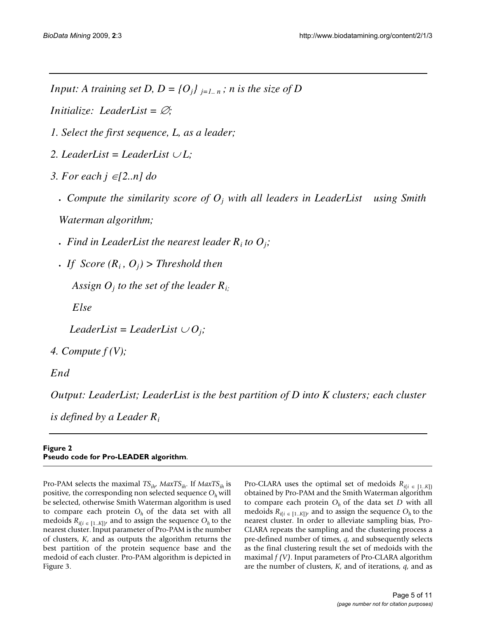*Input: A training set D, D = {O<sub>i</sub>}<sub>i=1..</sub> n; n is the size of D* 

*Initialize: LeaderList =*  $\varnothing$ *;* 

*1. Select the first sequence, L, as a leader;*

- 2. LeaderList = LeaderList  $\cup L$ ;
- *3. For each j [2..n] do*
	- <sup>x</sup> *Compute the similarity score of Oj with all leaders in LeaderList using Smith*

*Waterman algorithm;* 

- *Find in LeaderList the nearest leader*  $R_i$  *to*  $O_j$ *;*
- *If Score*  $(R_i, O_j)$  > Threshold then

 *Assign Oj to the set of the leader Ri;*

*Else* 

*LeaderList* = *LeaderList*  $\cup O_i$ ;

*4. Compute f (V);* 

*End* 

*Output: LeaderList; LeaderList is the best partition of D into K clusters; each cluster* 

*is defined by a Leader Ri*

# **Figure 2 Pseudo code for Pro-LEADER algorithm**.

Pro-PAM selects the maximal *TSih*, *MaxTSih*. If *MaxTSih* is positive, the corresponding non selected sequence *Oh* will be selected, otherwise Smith Waterman algorithm is used to compare each protein  $O<sub>h</sub>$  of the data set with all medoids  $R_{i(i \in [1..K])}$ , and to assign the sequence  $O_h$  to the nearest cluster. Input parameter of Pro-PAM is the number of clusters, *K*, and as outputs the algorithm returns the best partition of the protein sequence base and the medoid of each cluster. Pro-PAM algorithm is depicted in Figure 3.

Pro-CLARA uses the optimal set of medoids  $R_{i(i \in [1..K])}$ obtained by Pro-PAM and the Smith Waterman algorithm to compare each protein  $O<sub>h</sub>$  of the data set *D* with all medoids  $R_{i(i \in [1..K])}$  and to assign the sequence  $O_h$  to the nearest cluster. In order to alleviate sampling bias, Pro-CLARA repeats the sampling and the clustering process a pre-defined number of times, *q*, and subsequently selects as the final clustering result the set of medoids with the maximal *f (V)*. Input parameters of Pro-CLARA algorithm are the number of clusters, *K*, and of iterations, *q*, and as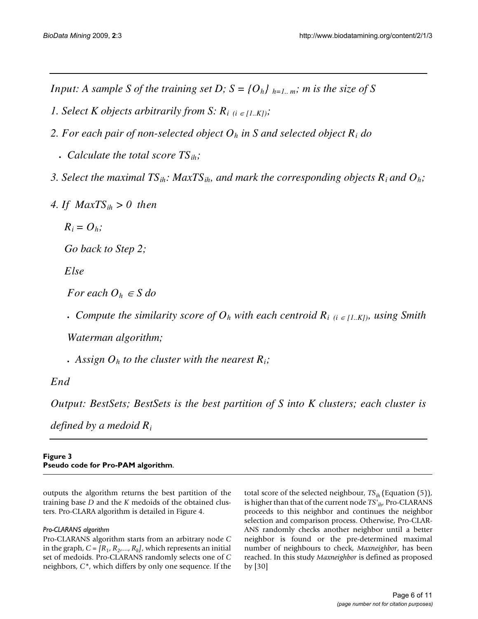*Input: A sample S of the training set D;*  $S = \{O_h\}_{h=1...m}$ *; m is the size of S* 

- *1. Select K objects arbitrarily from S:*  $R_{i(i \in [1..K])}$ *;*
- *2. For each pair of non-selected object Oh in S and selected object Ri do*
	- <sup>x</sup> *Calculate the total score TSih;*
- *3. Select the maximal TSih: MaxTSih, and mark the corresponding objects Ri and Oh;*
- *4. If MaxTSih > 0 then*
	- $R_i = O_k$ ;

 *Go back to Step 2;* 

*Else* 

*For each*  $O_h \in S$  *do* 

**• Compute the similarity score of**  $O_h$  **with each centroid**  $R_i$  **(i**  $\in$  **[1.***K***]), using Smith** 

*Waterman algorithm;* 

 $\cdot$  *Assign O<sub>h</sub> to the cluster with the nearest R<sub>i</sub>;* 

*End* 

*Output: BestSets; BestSets is the best partition of S into K clusters; each cluster is* 

*defined by a medoid Ri*

## **Figure 3 Pseudo code for Pro-PAM algorithm**.

outputs the algorithm returns the best partition of the training base *D* and the *K* medoids of the obtained clusters. Pro-CLARA algorithm is detailed in Figure 4.

# *Pro-CLARANS algorithm*

Pro-CLARANS algorithm starts from an arbitrary node *C* in the graph,  $C = [R_1, R_2, \ldots, R_k]$ , which represents an initial set of medoids. Pro-CLARANS randomly selects one of *C* neighbors, *C\**, which differs by only one sequence. If the total score of the selected neighbour, *TSih* (Equation (5)), is higher than that of the current node *TS'ih*, Pro-CLARANS proceeds to this neighbor and continues the neighbor selection and comparison process. Otherwise, Pro-CLAR-ANS randomly checks another neighbor until a better neighbor is found or the pre-determined maximal number of neighbours to check, *Maxneighbor*, has been reached. In this study *Maxneighbor* is defined as proposed by [30]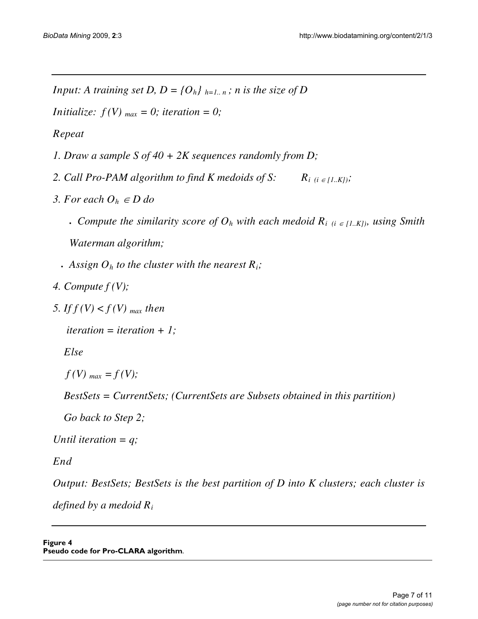*Input: A training set D, D = {O<sub>h</sub>}*  $_{h=1..n}$ ; *n is the size of D* 

*Initialize:*  $f(V)_{max} = 0$ ; *iteration* = 0;

*Repeat* 

- *1. Draw a sample S of 40 + 2K sequences randomly from D;*
- 2. Call Pro-PAM algorithm to find K medoids of S:  $R_{i}$  (i  $\in$  [1..K]);
- *3. For each*  $O_h \in D$  *do* 
	- **Compute the similarity score of**  $O_h$  **with each medoid**  $R_i$  **(i**  $\in$  **[1.***K***]), using Smith** *Waterman algorithm;*
	- $\cdot$  *Assign O<sub>h</sub> to the cluster with the nearest R<sub>i</sub>;*
- *4. Compute f (V);*
- 5. If  $f(V) < f(V)$  <sub>max</sub> then

 *iteration = iteration + 1;* 

 *Else* 

 $f(V)_{max} = f(V);$ 

 *BestSets = CurrentSets; (CurrentSets are Subsets obtained in this partition)* 

 *Go back to Step 2;* 

*Until iteration = q;* 

*End* 

*Output: BestSets; BestSets is the best partition of D into K clusters; each cluster is* 

*defined by a medoid Ri*

**Figure 4 Pseudo code for Pro-CLARA algorithm**.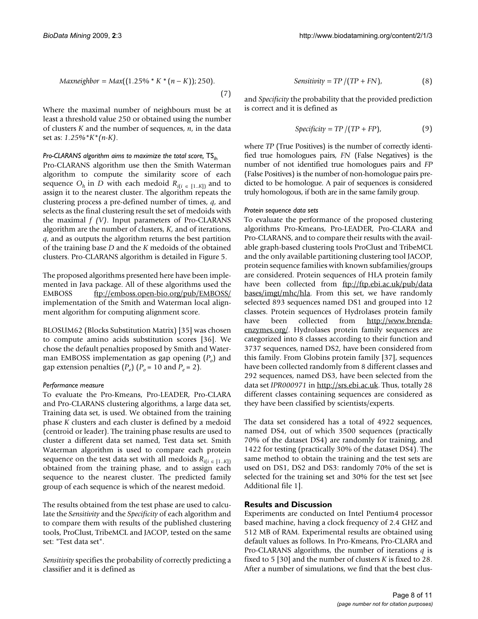$$
Maxneighbor = Max((1.25\% * K * (n - K)); 250).
$$
\n(7)

Where the maximal number of neighbours must be at least a threshold value 250 or obtained using the number of clusters *K* and the number of sequences, *n*, in the data set as: *1.25%\*K\*(n-K)*.

## *Pro-CLARANS algorithm aims to maximize the total score,*  $TS_{ih}$

Pro-CLARANS algorithm use then the Smith Waterman algorithm to compute the similarity score of each sequence  $O_h$  in *D* with each medoid  $R_{i(i) \in [1..K]}$  and to assign it to the nearest cluster. The algorithm repeats the clustering process a pre-defined number of times, *q*, and selects as the final clustering result the set of medoids with the maximal *f (V)*. Input parameters of Pro-CLARANS algorithm are the number of clusters, *K*, and of iterations, *q*, and as outputs the algorithm returns the best partition of the training base *D* and the *K* medoids of the obtained clusters. Pro-CLARANS algorithm is detailed in Figure 5.

The proposed algorithms presented here have been implemented in Java package. All of these algorithms used the EMBOSS <ftp://emboss.open-bio.org/pub/EMBOSS/> implementation of the Smith and Waterman local alignment algorithm for computing alignment score.

BLOSUM62 (Blocks Substitution Matrix) [35] was chosen to compute amino acids substitution scores [36]. We chose the default penalties proposed by Smith and Waterman EMBOSS implementation as gap opening  $(P<sub>o</sub>)$  and gap extension penalties  $(P_e)$   $(P_o = 10$  and  $P_e = 2)$ .

#### *Performance measure*

To evaluate the Pro-Kmeans, Pro-LEADER, Pro-CLARA and Pro-CLARANS clustering algorithms, a large data set, Training data set, is used. We obtained from the training phase *K* clusters and each cluster is defined by a medoid (centroid or leader). The training phase results are used to cluster a different data set named, Test data set. Smith Waterman algorithm is used to compare each protein sequence on the test data set with all medoids  $R_{i(i \in [1..K])}$ obtained from the training phase, and to assign each sequence to the nearest cluster. The predicted family group of each sequence is which of the nearest medoid.

The results obtained from the test phase are used to calculate the *Sensitivity* and the *Specificity* of each algorithm and to compare them with results of the published clustering tools, ProClust, TribeMCL and JACOP, tested on the same set: "Test data set".

*Sensitivity* specifies the probability of correctly predicting a classifier and it is defined as

$$
Sensitivity = TP/(TP + FN),
$$
 (8)

and *Specificity* the probability that the provided prediction is correct and it is defined as

$$
Specificity = TP / (TP + FP),
$$
 (9)

where *TP* (True Positives) is the number of correctly identified true homologues pairs, *FN* (False Negatives) is the number of not identified true homologues pairs and *FP* (False Positives) is the number of non-homologue pairs predicted to be homologue. A pair of sequences is considered truly homologous, if both are in the same family group.

#### *Protein sequence data sets*

To evaluate the performance of the proposed clustering algorithms Pro-Kmeans, Pro-LEADER, Pro-CLARA and Pro-CLARANS, and to compare their results with the available graph-based clustering tools ProClust and TribeMCL and the only available partitioning clustering tool JACOP, protein sequence families with known subfamilies/groups are considered. Protein sequences of HLA protein family have been collected from [ftp://ftp.ebi.ac.uk/pub/data](ftp://ftp.ebi.ac.uk/pub/databases/imgt/mhc/hla) [bases/imgt/mhc/hla](ftp://ftp.ebi.ac.uk/pub/databases/imgt/mhc/hla). From this set, we have randomly selected 893 sequences named DS1 and grouped into 12 classes. Protein sequences of Hydrolases protein family have been collected from [http://www.brenda](http://www.brenda-enzymes.org/)[enzymes.org/](http://www.brenda-enzymes.org/). Hydrolases protein family sequences are categorized into 8 classes according to their function and 3737 sequences, named DS2, have been considered from this family. From Globins protein family [37], sequences have been collected randomly from 8 different classes and 292 sequences, named DS3, have been selected from the data set *IPR000971* in<http://srs.ebi.ac.uk>. Thus, totally 28 different classes containing sequences are considered as they have been classified by scientists/experts.

The data set considered has a total of 4922 sequences, named DS4, out of which 3500 sequences (practically 70% of the dataset DS4) are randomly for training, and 1422 for testing (practically 30% of the dataset DS4). The same method to obtain the training and the test sets are used on DS1, DS2 and DS3: randomly 70% of the set is selected for the training set and 30% for the test set [see Additional file 1].

## **Results and Discussion**

Experiments are conducted on Intel Pentium4 processor based machine, having a clock frequency of 2.4 GHZ and 512 MB of RAM. Experimental results are obtained using default values as follows. In Pro-Kmeans, Pro-CLARA and Pro-CLARANS algorithms, the number of iterations *q* is fixed to 5 [30] and the number of clusters *K* is fixed to 28. After a number of simulations, we find that the best clus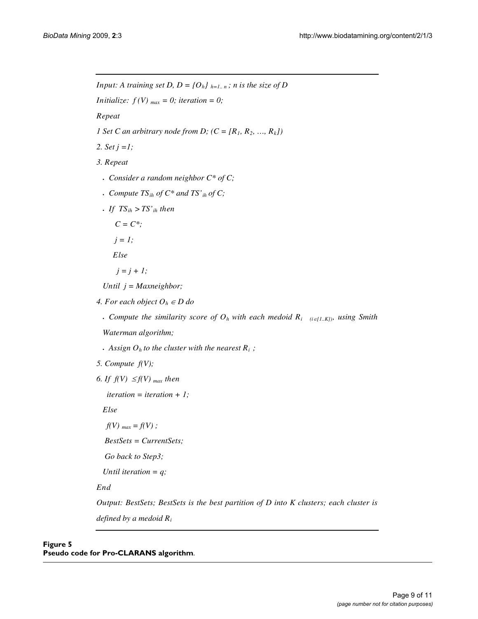*Input: A training set D, D = {O<sub>h</sub>}*  $_{h=1..n}$ ; *n is the size of D Initialize:*  $f(V)_{max} = 0$ ; *iteration* = 0; *Repeat 1 Set C an arbitrary node from D;*  $(C = [R_1, R_2, ..., R_k])$ *2. Set j =1; 3. Repeat*  <sup>x</sup> *Consider a random neighbor C\* of C;*  <sup>x</sup> *Compute TSih of C\* and TS'ih of C;*   $\cdot$  *If TS<sub>ih</sub>* > *TS'<sub>ih</sub>* then  $C = C^*$ ;  $j = 1$ ; *Else*   $j = j + 1;$ *Until j = Maxneighbor;*  4. For each object  $O_h \in D$  do **• Compute the similarity score of**  $O_h$  **with each medoid**  $R_i$  **(***i* $\in$ **[1.***K]***), using Smith** *Waterman algorithm;*   $\cdot$  *Assign O<sub>h</sub> to the cluster with the nearest R<sub>i</sub>;* 

*5. Compute f(V);* 

*6. If*  $f(V) \leq f(V)$  *max then* 

*iteration = iteration + 1;*

*Else* 

*f(V)*  $_{max} = f(V)$ ;

 *BestSets = CurrentSets;* 

 *Go back to Step3;* 

 *Until iteration = q;* 

*End* 

*Output: BestSets; BestSets is the best partition of D into K clusters; each cluster is defined by a medoid Ri*

# **Figure 5 Pseudo code for Pro-CLARANS algorithm**.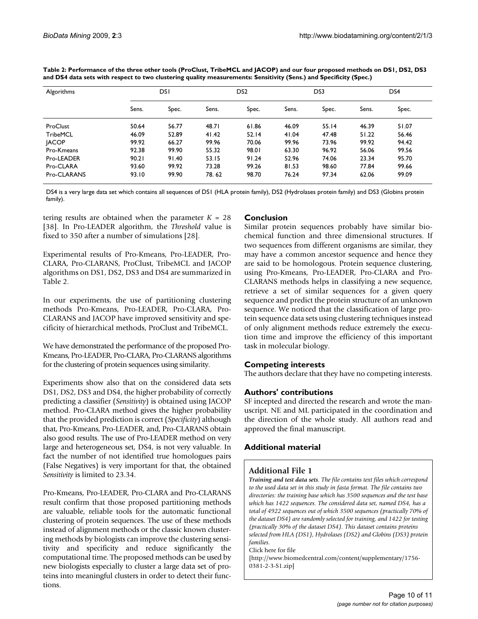| Algorithms   | DSI   |       | DS <sub>2</sub> |       | DS3   |       | DS4   |       |
|--------------|-------|-------|-----------------|-------|-------|-------|-------|-------|
|              | Sens. | Spec. | Sens.           | Spec. | Sens. | Spec. | Sens. | Spec. |
| ProClust     | 50.64 | 56.77 | 48.71           | 61.86 | 46.09 | 55.14 | 46.39 | 51.07 |
| TribeMCL     | 46.09 | 52.89 | 41.42           | 52.14 | 41.04 | 47.48 | 51.22 | 56.46 |
| <b>JACOP</b> | 99.92 | 66.27 | 99.96           | 70.06 | 99.96 | 73.96 | 99.92 | 94.42 |
| Pro-Kmeans   | 92.38 | 99.90 | 55.32           | 98.01 | 63.30 | 96.92 | 56.06 | 99.56 |
| Pro-LEADER   | 90.21 | 91.40 | 53.15           | 91.24 | 52.96 | 74.06 | 23.34 | 95.70 |
| Pro-CLARA    | 93.60 | 99.92 | 73.28           | 99.26 | 81.53 | 98.60 | 77.84 | 99.66 |
| Pro-CLARANS  | 93.10 | 99.90 | 78.62           | 98.70 | 76.24 | 97.34 | 62.06 | 99.09 |

**Table 2: Performance of the three other tools (ProClust, TribeMCL and JACOP) and our four proposed methods on DS1, DS2, DS3 and DS4 data sets with respect to two clustering quality measurements: Sensitivity (Sens.) and Specificity (Spec.)**

DS4 is a very large data set which contains all sequences of DS1 (HLA protein family), DS2 (Hydrolases protein family) and DS3 (Globins protein family).

tering results are obtained when the parameter  $K = 28$ [38]. In Pro-LEADER algorithm, the *Threshold* value is fixed to 350 after a number of simulations [28].

Experimental results of Pro-Kmeans, Pro-LEADER, Pro-CLARA, Pro-CLARANS, ProClust, TribeMCL and JACOP algorithms on DS1, DS2, DS3 and DS4 are summarized in Table 2.

In our experiments, the use of partitioning clustering methods Pro-Kmeans, Pro-LEADER, Pro-CLARA, Pro-CLARANS and JACOP have improved sensitivity and specificity of hierarchical methods, ProClust and TribeMCL.

We have demonstrated the performance of the proposed Pro-Kmeans, Pro-LEADER, Pro-CLARA, Pro-CLARANS algorithms for the clustering of protein sequences using similarity.

Experiments show also that on the considered data sets DS1, DS2, DS3 and DS4, the higher probability of correctly predicting a classifier (*Sensitivity*) is obtained using JACOP method. Pro-CLARA method gives the higher probability that the provided prediction is correct (*Specificity*) although that, Pro-Kmeans, Pro-LEADER, and, Pro-CLARANS obtain also good results. The use of Pro-LEADER method on very large and heterogeneous set, DS4, is not very valuable. In fact the number of not identified true homologues pairs (False Negatives) is very important for that, the obtained *Sensitivity* is limited to 23.34.

Pro-Kmeans, Pro-LEADER, Pro-CLARA and Pro-CLARANS result confirm that those proposed partitioning methods are valuable, reliable tools for the automatic functional clustering of protein sequences. The use of these methods instead of alignment methods or the classic known clustering methods by biologists can improve the clustering sensitivity and specificity and reduce significantly the computational time. The proposed methods can be used by new biologists especially to cluster a large data set of proteins into meaningful clusters in order to detect their functions.

# **Conclusion**

Similar protein sequences probably have similar biochemical function and three dimensional structures. If two sequences from different organisms are similar, they may have a common ancestor sequence and hence they are said to be homologous. Protein sequence clustering, using Pro-Kmeans, Pro-LEADER, Pro-CLARA and Pro-CLARANS methods helps in classifying a new sequence, retrieve a set of similar sequences for a given query sequence and predict the protein structure of an unknown sequence. We noticed that the classification of large protein sequence data sets using clustering techniques instead of only alignment methods reduce extremely the execution time and improve the efficiency of this important task in molecular biology.

# **Competing interests**

The authors declare that they have no competing interests.

## **Authors' contributions**

SF incepted and directed the research and wrote the manuscript. NE and ML participated in the coordination and the direction of the whole study. All authors read and approved the final manuscript.

## **Additional material**

## **Additional File 1**

*Training and test data sets. The file contains text files which correspond to the used data set in this study in fasta format. The file contains two directories: the training base which has 3500 sequences and the test base which has 1422 sequences. The considered data set, named DS4, has a total of 4922 sequences out of which 3500 sequences (practically 70% of the dataset DS4) are randomly selected for training, and 1422 for testing (practically 30% of the dataset DS4). This dataset contains proteins selected from HLA (DS1), Hydrolases (DS2) and Globins (DS3) protein families.*

Click here for file

[\[http://www.biomedcentral.com/content/supplementary/1756-](http://www.biomedcentral.com/content/supplementary/1756-0381-2-3-S1.zip) 0381-2-3-S1.zip]